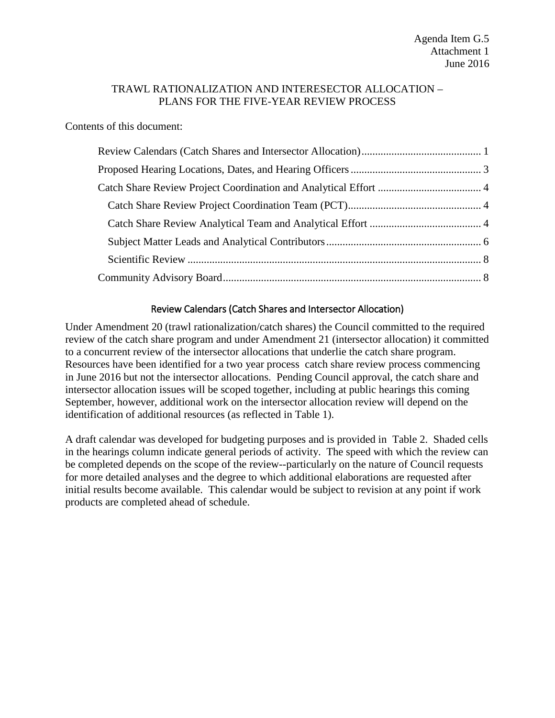### TRAWL RATIONALIZATION AND INTERESECTOR ALLOCATION – PLANS FOR THE FIVE-YEAR REVIEW PROCESS

Contents of this document:

## Review Calendars (Catch Shares and Intersector Allocation)

<span id="page-0-0"></span>Under Amendment 20 (trawl rationalization/catch shares) the Council committed to the required review of the catch share program and under Amendment 21 (intersector allocation) it committed to a concurrent review of the intersector allocations that underlie the catch share program. Resources have been identified for a two year process catch share review process commencing in June 2016 but not the intersector allocations. Pending Council approval, the catch share and intersector allocation issues will be scoped together, including at public hearings this coming September, however, additional work on the intersector allocation review will depend on the identification of additional resources (as reflected in [Table 1\)](#page-1-0).

A draft calendar was developed for budgeting purposes and is provided in [Table 2.](#page-1-1) Shaded cells in the hearings column indicate general periods of activity. The speed with which the review can be completed depends on the scope of the review--particularly on the nature of Council requests for more detailed analyses and the degree to which additional elaborations are requested after initial results become available. This calendar would be subject to revision at any point if work products are completed ahead of schedule.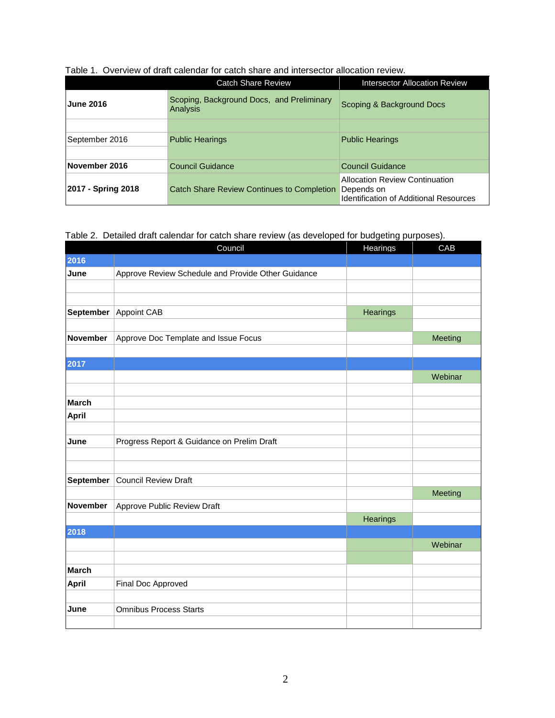|                    | <b>Catch Share Review</b>                             | Intersector Allocation Review                                                                        |  |
|--------------------|-------------------------------------------------------|------------------------------------------------------------------------------------------------------|--|
| <b>June 2016</b>   | Scoping, Background Docs, and Preliminary<br>Analysis | Scoping & Background Docs                                                                            |  |
|                    |                                                       |                                                                                                      |  |
| September 2016     | <b>Public Hearings</b>                                | <b>Public Hearings</b>                                                                               |  |
|                    |                                                       |                                                                                                      |  |
| November 2016      | Council Guidance                                      | Council Guidance                                                                                     |  |
| 2017 - Spring 2018 | <b>Catch Share Review Continues to Completion</b>     | <b>Allocation Review Continuation</b><br>Depends on<br><b>Identification of Additional Resources</b> |  |

#### <span id="page-1-0"></span>Table 1. Overview of draft calendar for catch share and intersector allocation review.

<span id="page-1-1"></span>Table 2. Detailed draft calendar for catch share review (as developed for budgeting purposes).

|              | Council                                            | Hearings | CAB     |
|--------------|----------------------------------------------------|----------|---------|
| 2016         |                                                    |          |         |
| June         | Approve Review Schedule and Provide Other Guidance |          |         |
|              |                                                    |          |         |
|              |                                                    |          |         |
| September    | Appoint CAB                                        | Hearings |         |
|              |                                                    |          |         |
| November     | Approve Doc Template and Issue Focus               |          | Meeting |
|              |                                                    |          |         |
| 2017         |                                                    |          |         |
|              |                                                    |          | Webinar |
|              |                                                    |          |         |
| <b>March</b> |                                                    |          |         |
| April        |                                                    |          |         |
|              |                                                    |          |         |
| June         | Progress Report & Guidance on Prelim Draft         |          |         |
|              |                                                    |          |         |
| September    | <b>Council Review Draft</b>                        |          |         |
|              |                                                    |          | Meeting |
| November     | Approve Public Review Draft                        |          |         |
|              |                                                    | Hearings |         |
| 2018         |                                                    |          |         |
|              |                                                    |          | Webinar |
|              |                                                    |          |         |
| <b>March</b> |                                                    |          |         |
| <b>April</b> | Final Doc Approved                                 |          |         |
|              |                                                    |          |         |
| June         | <b>Omnibus Process Starts</b>                      |          |         |
|              |                                                    |          |         |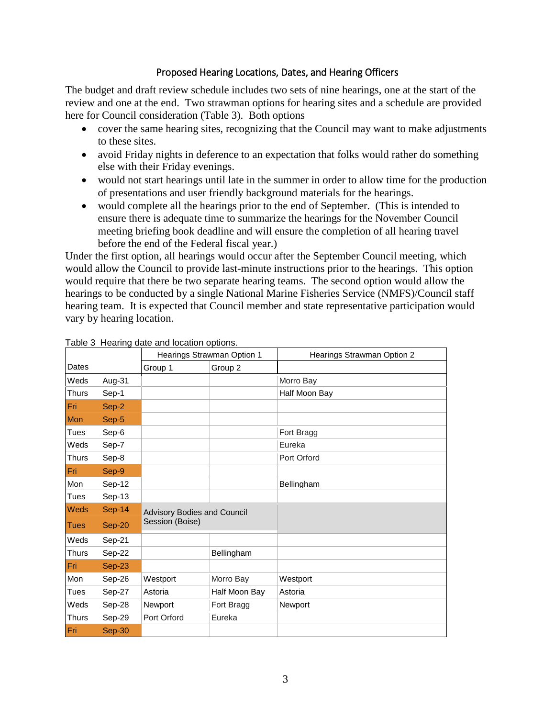## Proposed Hearing Locations, Dates, and Hearing Officers

<span id="page-2-0"></span>The budget and draft review schedule includes two sets of nine hearings, one at the start of the review and one at the end. Two strawman options for hearing sites and a schedule are provided here for Council consideration [\(Table 3\)](#page-2-1). Both options

- cover the same hearing sites, recognizing that the Council may want to make adjustments to these sites.
- avoid Friday nights in deference to an expectation that folks would rather do something else with their Friday evenings.
- would not start hearings until late in the summer in order to allow time for the production of presentations and user friendly background materials for the hearings.
- would complete all the hearings prior to the end of September. (This is intended to ensure there is adequate time to summarize the hearings for the November Council meeting briefing book deadline and will ensure the completion of all hearing travel before the end of the Federal fiscal year.)

Under the first option, all hearings would occur after the September Council meeting, which would allow the Council to provide last-minute instructions prior to the hearings. This option would require that there be two separate hearing teams. The second option would allow the hearings to be conducted by a single National Marine Fisheries Service (NMFS)/Council staff hearing team. It is expected that Council member and state representative participation would vary by hearing location.

|              |               | Hearings Strawman Option 1                            |               | Hearings Strawman Option 2 |
|--------------|---------------|-------------------------------------------------------|---------------|----------------------------|
| Dates        |               | Group 1                                               | Group 2       |                            |
| Weds         | Aug-31        |                                                       |               | Morro Bay                  |
| <b>Thurs</b> | Sep-1         |                                                       |               | Half Moon Bay              |
| Fri          | Sep-2         |                                                       |               |                            |
| Mon          | Sep-5         |                                                       |               |                            |
| Tues         | Sep-6         |                                                       |               | Fort Bragg                 |
| Weds         | Sep-7         |                                                       |               | Eureka                     |
| <b>Thurs</b> | Sep-8         |                                                       |               | Port Orford                |
| Fri          | Sep-9         |                                                       |               |                            |
| Mon          | Sep-12        |                                                       |               | Bellingham                 |
| Tues         | Sep-13        |                                                       |               |                            |
| <b>Weds</b>  | <b>Sep-14</b> | <b>Advisory Bodies and Council</b><br>Session (Boise) |               |                            |
| <b>Tues</b>  | Sep-20        |                                                       |               |                            |
| Weds         | Sep-21        |                                                       |               |                            |
| Thurs        | Sep-22        |                                                       | Bellingham    |                            |
| Fri          | $Sep-23$      |                                                       |               |                            |
| Mon          | Sep-26        | Westport                                              | Morro Bay     | Westport                   |
| Tues         | Sep-27        | Astoria                                               | Half Moon Bay | Astoria                    |
| Weds         | Sep-28        | Newport                                               | Fort Bragg    | <b>Newport</b>             |
| <b>Thurs</b> | Sep-29        | Port Orford                                           | Eureka        |                            |
| Fri          | Sep-30        |                                                       |               |                            |

#### <span id="page-2-1"></span>Table 3 Hearing date and location options.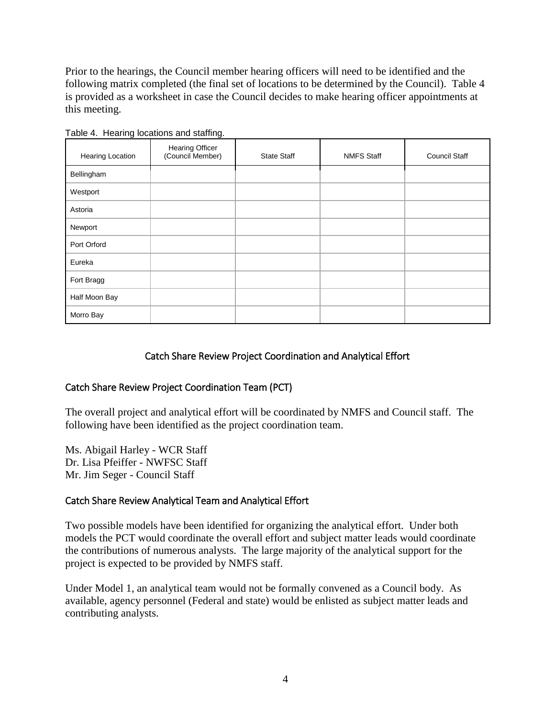Prior to the hearings, the Council member hearing officers will need to be identified and the following matrix completed (the final set of locations to be determined by the Council). [Table 4](#page-3-3) is provided as a worksheet in case the Council decides to make hearing officer appointments at this meeting.

| <b>Hearing Location</b> | <b>Hearing Officer</b><br>(Council Member) | <b>State Staff</b> | <b>NMFS Staff</b> | <b>Council Staff</b> |
|-------------------------|--------------------------------------------|--------------------|-------------------|----------------------|
| Bellingham              |                                            |                    |                   |                      |
| Westport                |                                            |                    |                   |                      |
| Astoria                 |                                            |                    |                   |                      |
| Newport                 |                                            |                    |                   |                      |
| Port Orford             |                                            |                    |                   |                      |
| Eureka                  |                                            |                    |                   |                      |
| Fort Bragg              |                                            |                    |                   |                      |
| Half Moon Bay           |                                            |                    |                   |                      |
| Morro Bay               |                                            |                    |                   |                      |

<span id="page-3-3"></span>Table 4. Hearing locations and staffing.

## Catch Share Review Project Coordination and Analytical Effort

### <span id="page-3-1"></span><span id="page-3-0"></span>Catch Share Review Project Coordination Team (PCT)

The overall project and analytical effort will be coordinated by NMFS and Council staff. The following have been identified as the project coordination team.

Ms. Abigail Harley - WCR Staff Dr. Lisa Pfeiffer - NWFSC Staff Mr. Jim Seger - Council Staff

### <span id="page-3-2"></span>Catch Share Review Analytical Team and Analytical Effort

Two possible models have been identified for organizing the analytical effort. Under both models the PCT would coordinate the overall effort and subject matter leads would coordinate the contributions of numerous analysts. The large majority of the analytical support for the project is expected to be provided by NMFS staff.

Under Model 1, an analytical team would not be formally convened as a Council body. As available, agency personnel (Federal and state) would be enlisted as subject matter leads and contributing analysts.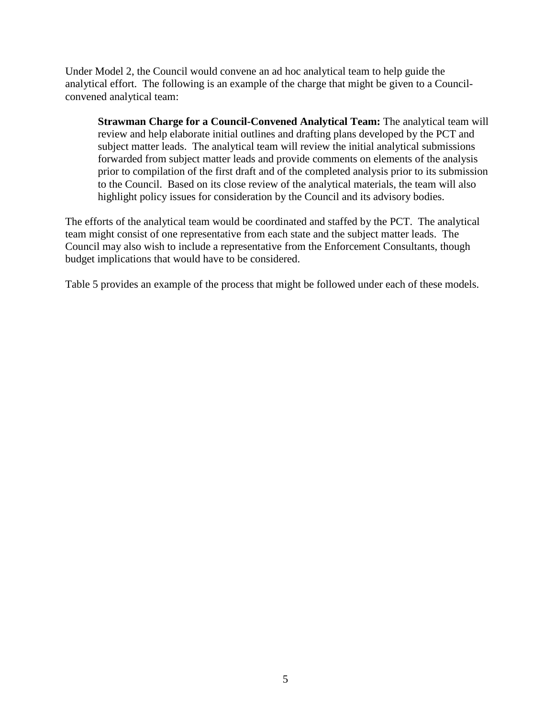Under Model 2, the Council would convene an ad hoc analytical team to help guide the analytical effort. The following is an example of the charge that might be given to a Councilconvened analytical team:

**Strawman Charge for a Council-Convened Analytical Team:** The analytical team will review and help elaborate initial outlines and drafting plans developed by the PCT and subject matter leads. The analytical team will review the initial analytical submissions forwarded from subject matter leads and provide comments on elements of the analysis prior to compilation of the first draft and of the completed analysis prior to its submission to the Council. Based on its close review of the analytical materials, the team will also highlight policy issues for consideration by the Council and its advisory bodies.

The efforts of the analytical team would be coordinated and staffed by the PCT. The analytical team might consist of one representative from each state and the subject matter leads. The Council may also wish to include a representative from the Enforcement Consultants, though budget implications that would have to be considered.

[Table 5](#page-5-1) provides an example of the process that might be followed under each of these models.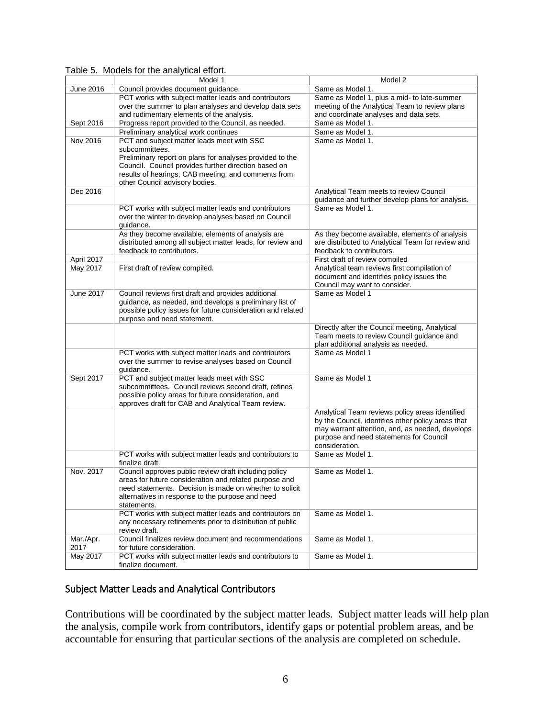| June 2016<br>Council provides document guidance.<br>Same as Model 1.<br>PCT works with subject matter leads and contributors<br>Same as Model 1, plus a mid- to late-summer<br>over the summer to plan analyses and develop data sets<br>meeting of the Analytical Team to review plans<br>and coordinate analyses and data sets.<br>and rudimentary elements of the analysis.<br>Sept 2016<br>Progress report provided to the Council, as needed.<br>Same as Model 1.<br>Same as Model 1.<br>Preliminary analytical work continues<br>Nov 2016<br>PCT and subject matter leads meet with SSC<br>Same as Model 1.<br>subcommittees.<br>Preliminary report on plans for analyses provided to the<br>Council. Council provides further direction based on<br>results of hearings, CAB meeting, and comments from<br>other Council advisory bodies.<br>Dec 2016<br>Analytical Team meets to review Council<br>guidance and further develop plans for analysis.<br>Same as Model 1.<br>PCT works with subject matter leads and contributors<br>over the winter to develop analyses based on Council<br>guidance.<br>As they become available, elements of analysis are<br>As they become available, elements of analysis<br>distributed among all subject matter leads, for review and<br>are distributed to Analytical Team for review and | Model 1 | Model 2 |
|-----------------------------------------------------------------------------------------------------------------------------------------------------------------------------------------------------------------------------------------------------------------------------------------------------------------------------------------------------------------------------------------------------------------------------------------------------------------------------------------------------------------------------------------------------------------------------------------------------------------------------------------------------------------------------------------------------------------------------------------------------------------------------------------------------------------------------------------------------------------------------------------------------------------------------------------------------------------------------------------------------------------------------------------------------------------------------------------------------------------------------------------------------------------------------------------------------------------------------------------------------------------------------------------------------------------------------------------|---------|---------|
|                                                                                                                                                                                                                                                                                                                                                                                                                                                                                                                                                                                                                                                                                                                                                                                                                                                                                                                                                                                                                                                                                                                                                                                                                                                                                                                                         |         |         |
|                                                                                                                                                                                                                                                                                                                                                                                                                                                                                                                                                                                                                                                                                                                                                                                                                                                                                                                                                                                                                                                                                                                                                                                                                                                                                                                                         |         |         |
|                                                                                                                                                                                                                                                                                                                                                                                                                                                                                                                                                                                                                                                                                                                                                                                                                                                                                                                                                                                                                                                                                                                                                                                                                                                                                                                                         |         |         |
|                                                                                                                                                                                                                                                                                                                                                                                                                                                                                                                                                                                                                                                                                                                                                                                                                                                                                                                                                                                                                                                                                                                                                                                                                                                                                                                                         |         |         |
|                                                                                                                                                                                                                                                                                                                                                                                                                                                                                                                                                                                                                                                                                                                                                                                                                                                                                                                                                                                                                                                                                                                                                                                                                                                                                                                                         |         |         |
|                                                                                                                                                                                                                                                                                                                                                                                                                                                                                                                                                                                                                                                                                                                                                                                                                                                                                                                                                                                                                                                                                                                                                                                                                                                                                                                                         |         |         |
|                                                                                                                                                                                                                                                                                                                                                                                                                                                                                                                                                                                                                                                                                                                                                                                                                                                                                                                                                                                                                                                                                                                                                                                                                                                                                                                                         |         |         |
|                                                                                                                                                                                                                                                                                                                                                                                                                                                                                                                                                                                                                                                                                                                                                                                                                                                                                                                                                                                                                                                                                                                                                                                                                                                                                                                                         |         |         |
|                                                                                                                                                                                                                                                                                                                                                                                                                                                                                                                                                                                                                                                                                                                                                                                                                                                                                                                                                                                                                                                                                                                                                                                                                                                                                                                                         |         |         |
|                                                                                                                                                                                                                                                                                                                                                                                                                                                                                                                                                                                                                                                                                                                                                                                                                                                                                                                                                                                                                                                                                                                                                                                                                                                                                                                                         |         |         |
|                                                                                                                                                                                                                                                                                                                                                                                                                                                                                                                                                                                                                                                                                                                                                                                                                                                                                                                                                                                                                                                                                                                                                                                                                                                                                                                                         |         |         |
|                                                                                                                                                                                                                                                                                                                                                                                                                                                                                                                                                                                                                                                                                                                                                                                                                                                                                                                                                                                                                                                                                                                                                                                                                                                                                                                                         |         |         |
|                                                                                                                                                                                                                                                                                                                                                                                                                                                                                                                                                                                                                                                                                                                                                                                                                                                                                                                                                                                                                                                                                                                                                                                                                                                                                                                                         |         |         |
|                                                                                                                                                                                                                                                                                                                                                                                                                                                                                                                                                                                                                                                                                                                                                                                                                                                                                                                                                                                                                                                                                                                                                                                                                                                                                                                                         |         |         |
|                                                                                                                                                                                                                                                                                                                                                                                                                                                                                                                                                                                                                                                                                                                                                                                                                                                                                                                                                                                                                                                                                                                                                                                                                                                                                                                                         |         |         |
|                                                                                                                                                                                                                                                                                                                                                                                                                                                                                                                                                                                                                                                                                                                                                                                                                                                                                                                                                                                                                                                                                                                                                                                                                                                                                                                                         |         |         |
|                                                                                                                                                                                                                                                                                                                                                                                                                                                                                                                                                                                                                                                                                                                                                                                                                                                                                                                                                                                                                                                                                                                                                                                                                                                                                                                                         |         |         |
|                                                                                                                                                                                                                                                                                                                                                                                                                                                                                                                                                                                                                                                                                                                                                                                                                                                                                                                                                                                                                                                                                                                                                                                                                                                                                                                                         |         |         |
| feedback to contributors.<br>feedback to contributors.                                                                                                                                                                                                                                                                                                                                                                                                                                                                                                                                                                                                                                                                                                                                                                                                                                                                                                                                                                                                                                                                                                                                                                                                                                                                                  |         |         |
| April 2017<br>First draft of review compiled                                                                                                                                                                                                                                                                                                                                                                                                                                                                                                                                                                                                                                                                                                                                                                                                                                                                                                                                                                                                                                                                                                                                                                                                                                                                                            |         |         |
| May 2017<br>Analytical team reviews first compilation of<br>First draft of review compiled.                                                                                                                                                                                                                                                                                                                                                                                                                                                                                                                                                                                                                                                                                                                                                                                                                                                                                                                                                                                                                                                                                                                                                                                                                                             |         |         |
| document and identifies policy issues the                                                                                                                                                                                                                                                                                                                                                                                                                                                                                                                                                                                                                                                                                                                                                                                                                                                                                                                                                                                                                                                                                                                                                                                                                                                                                               |         |         |
| Council may want to consider.                                                                                                                                                                                                                                                                                                                                                                                                                                                                                                                                                                                                                                                                                                                                                                                                                                                                                                                                                                                                                                                                                                                                                                                                                                                                                                           |         |         |
| June 2017<br>Council reviews first draft and provides additional<br>Same as Model 1                                                                                                                                                                                                                                                                                                                                                                                                                                                                                                                                                                                                                                                                                                                                                                                                                                                                                                                                                                                                                                                                                                                                                                                                                                                     |         |         |
| guidance, as needed, and develops a preliminary list of                                                                                                                                                                                                                                                                                                                                                                                                                                                                                                                                                                                                                                                                                                                                                                                                                                                                                                                                                                                                                                                                                                                                                                                                                                                                                 |         |         |
| possible policy issues for future consideration and related                                                                                                                                                                                                                                                                                                                                                                                                                                                                                                                                                                                                                                                                                                                                                                                                                                                                                                                                                                                                                                                                                                                                                                                                                                                                             |         |         |
| purpose and need statement.                                                                                                                                                                                                                                                                                                                                                                                                                                                                                                                                                                                                                                                                                                                                                                                                                                                                                                                                                                                                                                                                                                                                                                                                                                                                                                             |         |         |
| Directly after the Council meeting, Analytical                                                                                                                                                                                                                                                                                                                                                                                                                                                                                                                                                                                                                                                                                                                                                                                                                                                                                                                                                                                                                                                                                                                                                                                                                                                                                          |         |         |
| Team meets to review Council guidance and                                                                                                                                                                                                                                                                                                                                                                                                                                                                                                                                                                                                                                                                                                                                                                                                                                                                                                                                                                                                                                                                                                                                                                                                                                                                                               |         |         |
| plan additional analysis as needed.                                                                                                                                                                                                                                                                                                                                                                                                                                                                                                                                                                                                                                                                                                                                                                                                                                                                                                                                                                                                                                                                                                                                                                                                                                                                                                     |         |         |
| Same as Model 1<br>PCT works with subject matter leads and contributors                                                                                                                                                                                                                                                                                                                                                                                                                                                                                                                                                                                                                                                                                                                                                                                                                                                                                                                                                                                                                                                                                                                                                                                                                                                                 |         |         |
| over the summer to revise analyses based on Council                                                                                                                                                                                                                                                                                                                                                                                                                                                                                                                                                                                                                                                                                                                                                                                                                                                                                                                                                                                                                                                                                                                                                                                                                                                                                     |         |         |
| guidance.                                                                                                                                                                                                                                                                                                                                                                                                                                                                                                                                                                                                                                                                                                                                                                                                                                                                                                                                                                                                                                                                                                                                                                                                                                                                                                                               |         |         |
| PCT and subject matter leads meet with SSC<br>Sept 2017<br>Same as Model 1                                                                                                                                                                                                                                                                                                                                                                                                                                                                                                                                                                                                                                                                                                                                                                                                                                                                                                                                                                                                                                                                                                                                                                                                                                                              |         |         |
| subcommittees. Council reviews second draft, refines<br>possible policy areas for future consideration, and                                                                                                                                                                                                                                                                                                                                                                                                                                                                                                                                                                                                                                                                                                                                                                                                                                                                                                                                                                                                                                                                                                                                                                                                                             |         |         |
| approves draft for CAB and Analytical Team review.                                                                                                                                                                                                                                                                                                                                                                                                                                                                                                                                                                                                                                                                                                                                                                                                                                                                                                                                                                                                                                                                                                                                                                                                                                                                                      |         |         |
| Analytical Team reviews policy areas identified                                                                                                                                                                                                                                                                                                                                                                                                                                                                                                                                                                                                                                                                                                                                                                                                                                                                                                                                                                                                                                                                                                                                                                                                                                                                                         |         |         |
| by the Council, identifies other policy areas that                                                                                                                                                                                                                                                                                                                                                                                                                                                                                                                                                                                                                                                                                                                                                                                                                                                                                                                                                                                                                                                                                                                                                                                                                                                                                      |         |         |
| may warrant attention, and, as needed, develops                                                                                                                                                                                                                                                                                                                                                                                                                                                                                                                                                                                                                                                                                                                                                                                                                                                                                                                                                                                                                                                                                                                                                                                                                                                                                         |         |         |
| purpose and need statements for Council                                                                                                                                                                                                                                                                                                                                                                                                                                                                                                                                                                                                                                                                                                                                                                                                                                                                                                                                                                                                                                                                                                                                                                                                                                                                                                 |         |         |
| consideration.                                                                                                                                                                                                                                                                                                                                                                                                                                                                                                                                                                                                                                                                                                                                                                                                                                                                                                                                                                                                                                                                                                                                                                                                                                                                                                                          |         |         |
| PCT works with subject matter leads and contributors to<br>Same as Model 1.                                                                                                                                                                                                                                                                                                                                                                                                                                                                                                                                                                                                                                                                                                                                                                                                                                                                                                                                                                                                                                                                                                                                                                                                                                                             |         |         |
| finalize draft.                                                                                                                                                                                                                                                                                                                                                                                                                                                                                                                                                                                                                                                                                                                                                                                                                                                                                                                                                                                                                                                                                                                                                                                                                                                                                                                         |         |         |
| Nov. 2017<br>Council approves public review draft including policy<br>Same as Model 1.                                                                                                                                                                                                                                                                                                                                                                                                                                                                                                                                                                                                                                                                                                                                                                                                                                                                                                                                                                                                                                                                                                                                                                                                                                                  |         |         |
| areas for future consideration and related purpose and                                                                                                                                                                                                                                                                                                                                                                                                                                                                                                                                                                                                                                                                                                                                                                                                                                                                                                                                                                                                                                                                                                                                                                                                                                                                                  |         |         |
| need statements. Decision is made on whether to solicit                                                                                                                                                                                                                                                                                                                                                                                                                                                                                                                                                                                                                                                                                                                                                                                                                                                                                                                                                                                                                                                                                                                                                                                                                                                                                 |         |         |
| alternatives in response to the purpose and need                                                                                                                                                                                                                                                                                                                                                                                                                                                                                                                                                                                                                                                                                                                                                                                                                                                                                                                                                                                                                                                                                                                                                                                                                                                                                        |         |         |
| statements.                                                                                                                                                                                                                                                                                                                                                                                                                                                                                                                                                                                                                                                                                                                                                                                                                                                                                                                                                                                                                                                                                                                                                                                                                                                                                                                             |         |         |
| PCT works with subject matter leads and contributors on<br>Same as Model 1.                                                                                                                                                                                                                                                                                                                                                                                                                                                                                                                                                                                                                                                                                                                                                                                                                                                                                                                                                                                                                                                                                                                                                                                                                                                             |         |         |
| any necessary refinements prior to distribution of public                                                                                                                                                                                                                                                                                                                                                                                                                                                                                                                                                                                                                                                                                                                                                                                                                                                                                                                                                                                                                                                                                                                                                                                                                                                                               |         |         |
| review draft.                                                                                                                                                                                                                                                                                                                                                                                                                                                                                                                                                                                                                                                                                                                                                                                                                                                                                                                                                                                                                                                                                                                                                                                                                                                                                                                           |         |         |
| Council finalizes review document and recommendations<br>Mar./Apr.<br>Same as Model 1.<br>for future consideration.<br>2017                                                                                                                                                                                                                                                                                                                                                                                                                                                                                                                                                                                                                                                                                                                                                                                                                                                                                                                                                                                                                                                                                                                                                                                                             |         |         |
| May 2017<br>PCT works with subject matter leads and contributors to<br>Same as Model 1.                                                                                                                                                                                                                                                                                                                                                                                                                                                                                                                                                                                                                                                                                                                                                                                                                                                                                                                                                                                                                                                                                                                                                                                                                                                 |         |         |
| finalize document.                                                                                                                                                                                                                                                                                                                                                                                                                                                                                                                                                                                                                                                                                                                                                                                                                                                                                                                                                                                                                                                                                                                                                                                                                                                                                                                      |         |         |

#### <span id="page-5-1"></span>Table 5. Models for the analytical effort.

# <span id="page-5-0"></span>Subject Matter Leads and Analytical Contributors

Contributions will be coordinated by the subject matter leads. Subject matter leads will help plan the analysis, compile work from contributors, identify gaps or potential problem areas, and be accountable for ensuring that particular sections of the analysis are completed on schedule.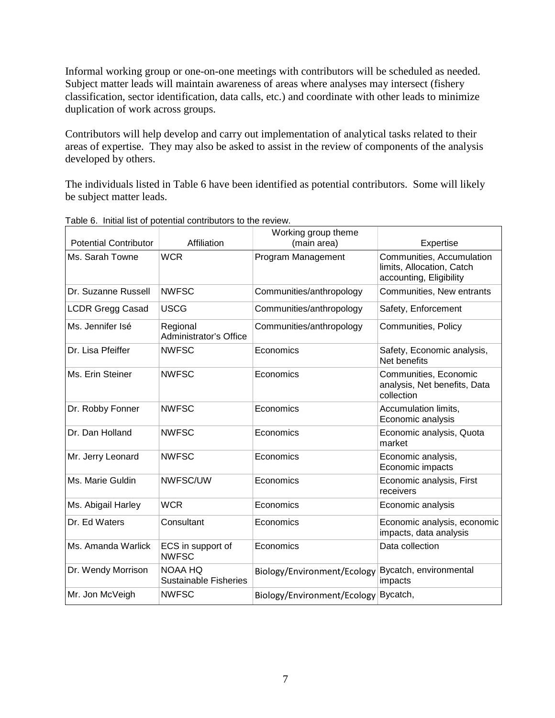Informal working group or one-on-one meetings with contributors will be scheduled as needed. Subject matter leads will maintain awareness of areas where analyses may intersect (fishery classification, sector identification, data calls, etc.) and coordinate with other leads to minimize duplication of work across groups.

Contributors will help develop and carry out implementation of analytical tasks related to their areas of expertise. They may also be asked to assist in the review of components of the analysis developed by others.

The individuals listed in [Table 6](#page-6-0) have been identified as potential contributors. Some will likely be subject matter leads.

|                              |                                           | Working group theme         |                                                                                   |
|------------------------------|-------------------------------------------|-----------------------------|-----------------------------------------------------------------------------------|
| <b>Potential Contributor</b> | Affiliation                               | (main area)                 | Expertise                                                                         |
| Ms. Sarah Towne              | <b>WCR</b>                                | Program Management          | Communities, Accumulation<br>limits, Allocation, Catch<br>accounting, Eligibility |
| Dr. Suzanne Russell          | <b>NWFSC</b>                              | Communities/anthropology    | Communities, New entrants                                                         |
| <b>LCDR Gregg Casad</b>      | <b>USCG</b>                               | Communities/anthropology    | Safety, Enforcement                                                               |
| Ms. Jennifer Isé             | Regional<br><b>Administrator's Office</b> | Communities/anthropology    | Communities, Policy                                                               |
| Dr. Lisa Pfeiffer            | <b>NWFSC</b>                              | Economics                   | Safety, Economic analysis,<br>Net benefits                                        |
| Ms. Erin Steiner             | <b>NWFSC</b>                              | Economics                   | Communities, Economic<br>analysis, Net benefits, Data<br>collection               |
| Dr. Robby Fonner             | <b>NWFSC</b>                              | Economics                   | Accumulation limits,<br>Economic analysis                                         |
| Dr. Dan Holland              | <b>NWFSC</b>                              | Economics                   | Economic analysis, Quota<br>market                                                |
| Mr. Jerry Leonard            | <b>NWFSC</b>                              | Economics                   | Economic analysis,<br>Economic impacts                                            |
| Ms. Marie Guldin             | NWFSC/UW                                  | Economics                   | Economic analysis, First<br>receivers                                             |
| Ms. Abigail Harley           | <b>WCR</b>                                | Economics                   | Economic analysis                                                                 |
| Dr. Ed Waters                | Consultant                                | Economics                   | Economic analysis, economic<br>impacts, data analysis                             |
| Ms. Amanda Warlick           | ECS in support of<br><b>NWFSC</b>         | Economics                   | Data collection                                                                   |
| Dr. Wendy Morrison           | NOAA HQ<br><b>Sustainable Fisheries</b>   | Biology/Environment/Ecology | Bycatch, environmental<br>impacts                                                 |
| Mr. Jon McVeigh              | <b>NWFSC</b>                              | Biology/Environment/Ecology | Bycatch,                                                                          |

<span id="page-6-0"></span>Table 6. Initial list of potential contributors to the review.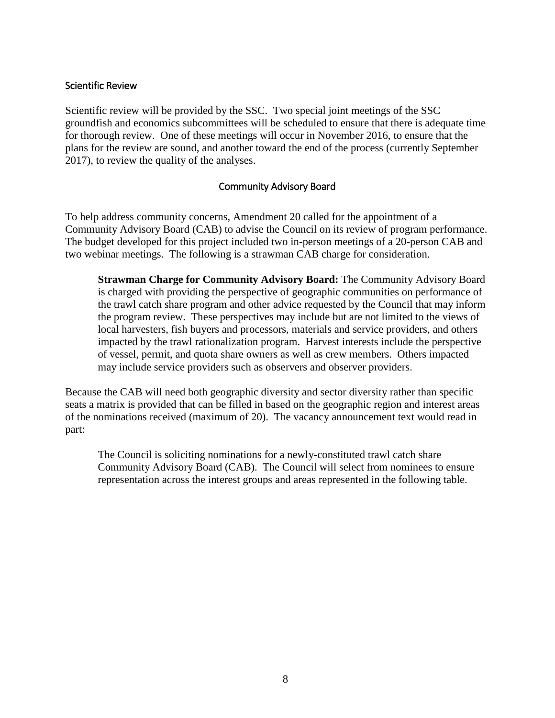### <span id="page-7-0"></span>Scientific Review

Scientific review will be provided by the SSC. Two special joint meetings of the SSC groundfish and economics subcommittees will be scheduled to ensure that there is adequate time for thorough review. One of these meetings will occur in November 2016, to ensure that the plans for the review are sound, and another toward the end of the process (currently September 2017), to review the quality of the analyses.

# Community Advisory Board

<span id="page-7-1"></span>To help address community concerns, Amendment 20 called for the appointment of a Community Advisory Board (CAB) to advise the Council on its review of program performance. The budget developed for this project included two in-person meetings of a 20-person CAB and two webinar meetings. The following is a strawman CAB charge for consideration.

**Strawman Charge for Community Advisory Board:** The Community Advisory Board is charged with providing the perspective of geographic communities on performance of the trawl catch share program and other advice requested by the Council that may inform the program review. These perspectives may include but are not limited to the views of local harvesters, fish buyers and processors, materials and service providers, and others impacted by the trawl rationalization program. Harvest interests include the perspective of vessel, permit, and quota share owners as well as crew members. Others impacted may include service providers such as observers and observer providers.

Because the CAB will need both geographic diversity and sector diversity rather than specific seats a matrix is provided that can be filled in based on the geographic region and interest areas of the nominations received (maximum of 20). The vacancy announcement text would read in part:

The Council is soliciting nominations for a newly-constituted trawl catch share Community Advisory Board (CAB). The Council will select from nominees to ensure representation across the interest groups and areas represented in the following table.